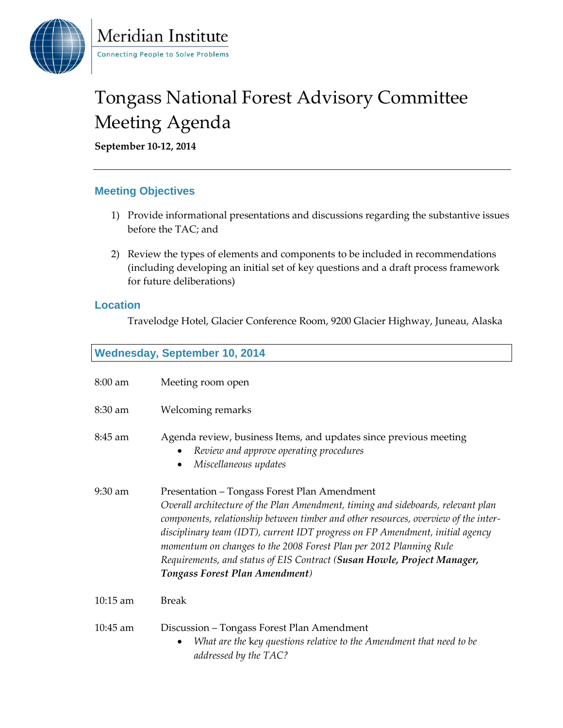

# Tongass National Forest Advisory Committee Meeting Agenda

**September 10-12, 2014** 

## **Meeting Objectives**

- 1) Provide informational presentations and discussions regarding the substantive issues before the TAC; and
- 2) Review the types of elements and components to be included in recommendations (including developing an initial set of key questions and a draft process framework for future deliberations)

#### **Location**

Travelodge Hotel, Glacier Conference Room, 9200 Glacier Highway, Juneau, Alaska

### **Wednesday, September 10, 2014**

| 8:00 am    | Meeting room open                                                                                                                                                                                                                                                                                                                                                                                                                                                                                   |
|------------|-----------------------------------------------------------------------------------------------------------------------------------------------------------------------------------------------------------------------------------------------------------------------------------------------------------------------------------------------------------------------------------------------------------------------------------------------------------------------------------------------------|
| 8:30 am    | Welcoming remarks                                                                                                                                                                                                                                                                                                                                                                                                                                                                                   |
| $8:45$ am  | Agenda review, business Items, and updates since previous meeting<br>Review and approve operating procedures<br>٠<br>Miscellaneous updates<br>$\bullet$                                                                                                                                                                                                                                                                                                                                             |
| 9:30 am    | Presentation – Tongass Forest Plan Amendment<br>Overall architecture of the Plan Amendment, timing and sideboards, relevant plan<br>components, relationship between timber and other resources, overview of the inter-<br>disciplinary team (IDT), current IDT progress on FP Amendment, initial agency<br>momentum on changes to the 2008 Forest Plan per 2012 Planning Rule<br>Requirements, and status of EIS Contract (Susan Howle, Project Manager,<br><b>Tongass Forest Plan Amendment</b> ) |
| 10:15 am   | <b>Break</b>                                                                                                                                                                                                                                                                                                                                                                                                                                                                                        |
| $10:45$ am | Discussion – Tongass Forest Plan Amendment<br>What are the key questions relative to the Amendment that need to be<br>$\bullet$<br>addressed by the TAC?                                                                                                                                                                                                                                                                                                                                            |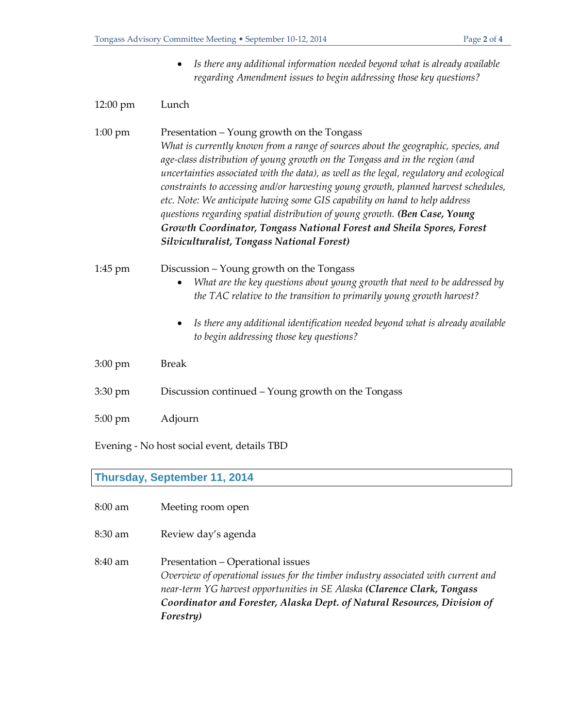*Is there any additional information needed beyond what is already available regarding Amendment issues to begin addressing those key questions?*

#### 12:00 pm Lunch

1:00 pm Presentation – Young growth on the Tongass *What is currently known from a range of sources about the geographic, species, and age-class distribution of young growth on the Tongass and in the region (and uncertainties associated with the data), as well as the legal, regulatory and ecological constraints to accessing and/or harvesting young growth, planned harvest schedules, etc. Note: We anticipate having some GIS capability on hand to help address questions regarding spatial distribution of young growth. (Ben Case, Young Growth Coordinator, Tongass National Forest and Sheila Spores, Forest Silviculturalist, Tongass National Forest)* 

1:45 pm Discussion – Young growth on the Tongass

- *What are the key questions about young growth that need to be addressed by the TAC relative to the transition to primarily young growth harvest?*
- *Is there any additional identification needed beyond what is already available to begin addressing those key questions?*
- 3:00 pm Break
- 3:30 pm Discussion continued Young growth on the Tongass
- 5:00 pm Adjourn

Evening - No host social event, details TBD

#### **Thursday, September 11, 2014**

- 8:00 am Meeting room open
- 8:30 am Review day's agenda

8:40 am Presentation – Operational issues *Overview of operational issues for the timber industry associated with current and near-term YG harvest opportunities in SE Alaska (Clarence Clark, Tongass Coordinator and Forester, Alaska Dept. of Natural Resources, Division of Forestry)*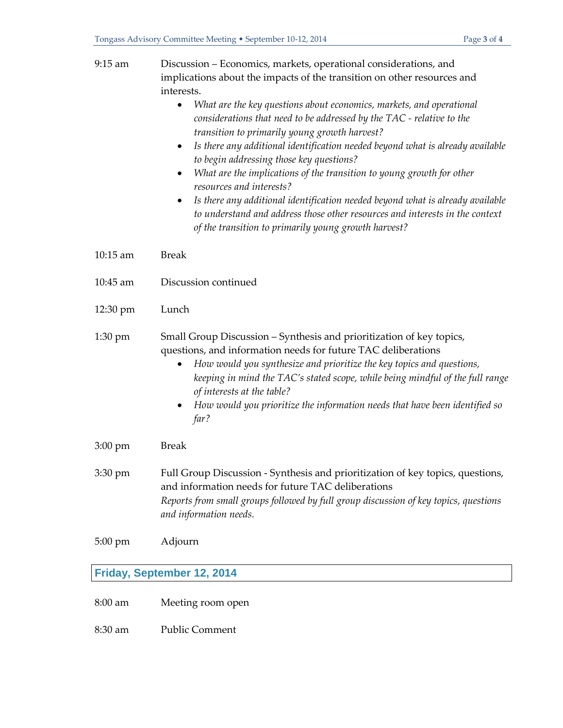| 9:15 am                    | Discussion – Economics, markets, operational considerations, and<br>implications about the impacts of the transition on other resources and<br>interests.<br>What are the key questions about economics, markets, and operational<br>$\bullet$<br>considerations that need to be addressed by the TAC - relative to the<br>transition to primarily young growth harvest?<br>Is there any additional identification needed beyond what is already available<br>$\bullet$<br>to begin addressing those key questions?<br>What are the implications of the transition to young growth for other<br>٠<br>resources and interests?<br>Is there any additional identification needed beyond what is already available<br>to understand and address those other resources and interests in the context<br>of the transition to primarily young growth harvest? |  |
|----------------------------|---------------------------------------------------------------------------------------------------------------------------------------------------------------------------------------------------------------------------------------------------------------------------------------------------------------------------------------------------------------------------------------------------------------------------------------------------------------------------------------------------------------------------------------------------------------------------------------------------------------------------------------------------------------------------------------------------------------------------------------------------------------------------------------------------------------------------------------------------------|--|
| 10:15 am                   | <b>Break</b>                                                                                                                                                                                                                                                                                                                                                                                                                                                                                                                                                                                                                                                                                                                                                                                                                                            |  |
| 10:45 am                   | Discussion continued                                                                                                                                                                                                                                                                                                                                                                                                                                                                                                                                                                                                                                                                                                                                                                                                                                    |  |
| 12:30 pm                   | Lunch                                                                                                                                                                                                                                                                                                                                                                                                                                                                                                                                                                                                                                                                                                                                                                                                                                                   |  |
| $1:30 \text{ pm}$          | Small Group Discussion – Synthesis and prioritization of key topics,<br>questions, and information needs for future TAC deliberations<br>How would you synthesize and prioritize the key topics and questions,<br>keeping in mind the TAC's stated scope, while being mindful of the full range<br>of interests at the table?<br>How would you prioritize the information needs that have been identified so<br>$\bullet$<br>far?                                                                                                                                                                                                                                                                                                                                                                                                                       |  |
| $3:00 \text{ pm}$          | <b>Break</b>                                                                                                                                                                                                                                                                                                                                                                                                                                                                                                                                                                                                                                                                                                                                                                                                                                            |  |
| 3:30 pm                    | Full Group Discussion - Synthesis and prioritization of key topics, questions,<br>and information needs for future TAC deliberations<br>Reports from small groups followed by full group discussion of key topics, questions<br>and information needs.                                                                                                                                                                                                                                                                                                                                                                                                                                                                                                                                                                                                  |  |
| 5:00 pm                    | Adjourn                                                                                                                                                                                                                                                                                                                                                                                                                                                                                                                                                                                                                                                                                                                                                                                                                                                 |  |
| Friday, September 12, 2014 |                                                                                                                                                                                                                                                                                                                                                                                                                                                                                                                                                                                                                                                                                                                                                                                                                                                         |  |
| 8:00 am                    | Meeting room open                                                                                                                                                                                                                                                                                                                                                                                                                                                                                                                                                                                                                                                                                                                                                                                                                                       |  |

8:30 am Public Comment